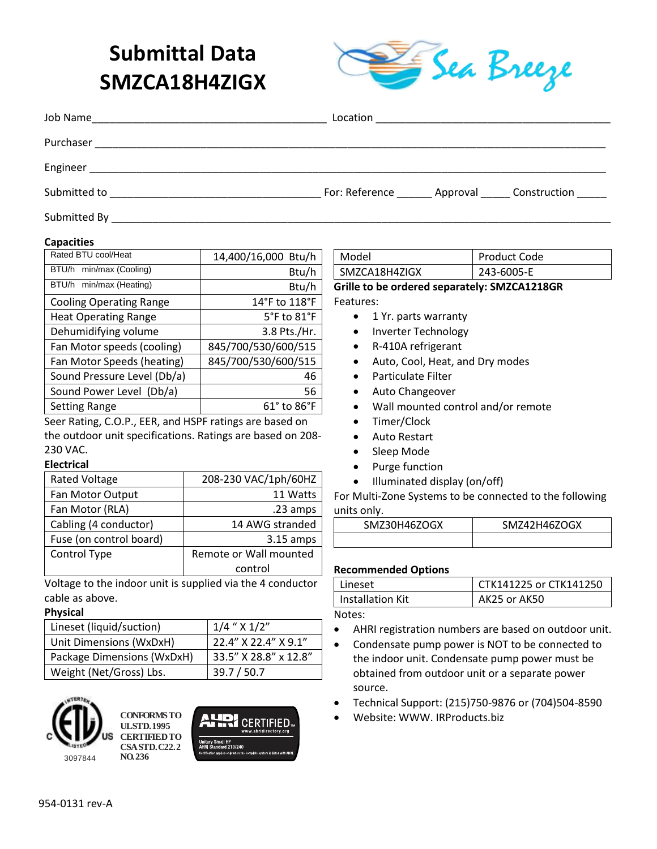# **Submittal Data SMZCA18H4ZIGX**



| Job Name<br><u> 1980 - Johann Stein, mars an de Francisco (f. 1980)</u> |                                                     |
|-------------------------------------------------------------------------|-----------------------------------------------------|
| Purchaser                                                               |                                                     |
| Engineer                                                                |                                                     |
| Submitted to                                                            | For: Reference _______ Approval ______ Construction |
| Submitted By                                                            |                                                     |

#### **Capacities**

| Rated BTU cool/Heat            | 14,400/16,000 Btu/h |
|--------------------------------|---------------------|
| BTU/h min/max (Cooling)        | Btu/h               |
| BTU/h min/max (Heating)        | Btu/h               |
| <b>Cooling Operating Range</b> | 14°F to 118°F       |
| <b>Heat Operating Range</b>    | 5°F to 81°F         |
| Dehumidifying volume           | 3.8 Pts./Hr.        |
| Fan Motor speeds (cooling)     | 845/700/530/600/515 |
| Fan Motor Speeds (heating)     | 845/700/530/600/515 |
| Sound Pressure Level (Db/a)    | 46                  |
| Sound Power Level (Db/a)       | 56                  |
| <b>Setting Range</b>           | 61° to 86°F         |
|                                |                     |

Seer Rating, C.O.P., EER, and HSPF ratings are based on the outdoor unit specifications. Ratings are based on 208- 230 VAC.

#### **Electrical**

| <b>Rated Voltage</b>    | 208-230 VAC/1ph/60HZ   |
|-------------------------|------------------------|
| Fan Motor Output        | 11 Watts               |
| Fan Motor (RLA)         | .23 amps               |
| Cabling (4 conductor)   | 14 AWG stranded        |
| Fuse (on control board) | $3.15$ amps            |
| Control Type            | Remote or Wall mounted |
|                         | control                |

Voltage to the indoor unit is supplied via the 4 conductor cable as above.

#### **Physical**

| Lineset (liquid/suction)   | $1/4$ " $\times$ $1/2$ " |
|----------------------------|--------------------------|
| Unit Dimensions (WxDxH)    | 22.4" X 22.4" X 9.1"     |
| Package Dimensions (WxDxH) | 33.5" X 28.8" x 12.8"    |
| Weight (Net/Gross) Lbs.    | 39.7 / 50.7              |







| Grille to he ordered senarately: SM7CA1218GR |                     |
|----------------------------------------------|---------------------|
| SMZCA18H4ZIGX                                | 243-6005-E          |
| l Model                                      | <b>Product Code</b> |

**Grille to be ordered separately: SMZCA1218GR** Features:

- 1 Yr. parts warranty
- Inverter Technology
- R-410A refrigerant
- Auto, Cool, Heat, and Dry modes
- Particulate Filter
- Auto Changeover
- Wall mounted control and/or remote
- Timer/Clock
- Auto Restart
- Sleep Mode
- Purge function
- Illuminated display (on/off)

For Multi-Zone Systems to be connected to the following units only.

| SMZ30H46ZOGX | SMZ42H46ZOGX |
|--------------|--------------|
|              |              |

#### **Recommended Options**

| l Lineset               | CTK141225 or CTK141250 |
|-------------------------|------------------------|
| <b>Installation Kit</b> | AK25 or AK50           |

Notes:

- AHRI registration numbers are based on outdoor unit.
- Condensate pump power is NOT to be connected to the indoor unit. Condensate pump power must be obtained from outdoor unit or a separate power source.
- Technical Support: (215)750-9876 or (704)504-8590
- Website: WWW. IRProducts.biz